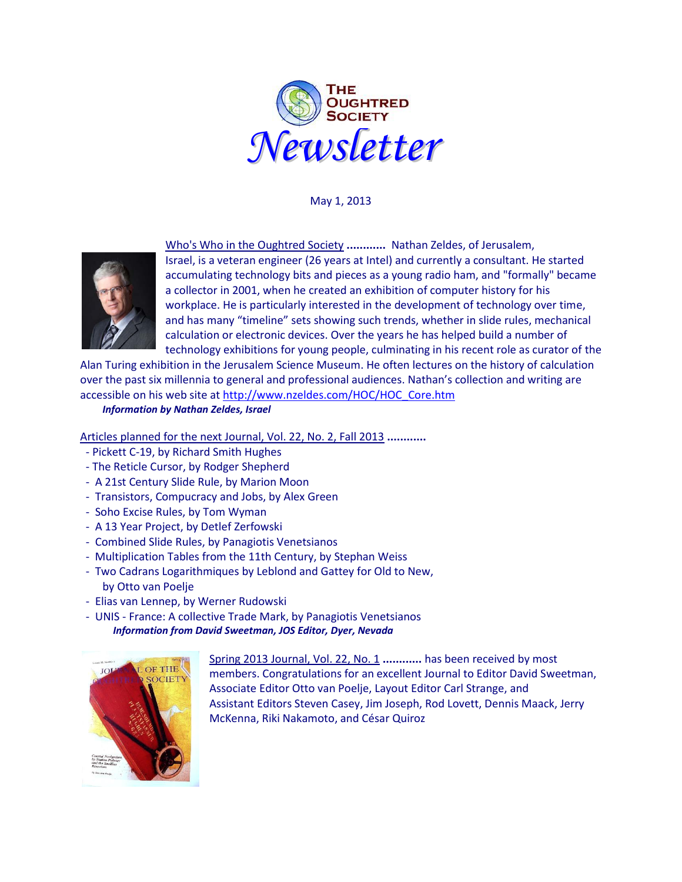

May 1, 2013



Who's Who in the Oughtred Society **............** Nathan Zeldes, of Jerusalem, Israel, is a veteran engineer (26 years at Intel) and currently a consultant. He started accumulating technology bits and pieces as a young radio ham, and "formally" became a collector in 2001, when he created an exhibition of computer history for his workplace. He is particularly interested in the development of technology over time, and has many "timeline" sets showing such trends, whether in slide rules, mechanical calculation or electronic devices. Over the years he has helped build a number of technology exhibitions for young people, culminating in his recent role as curator of the

Alan Turing exhibition in the Jerusalem Science Museum. He often lectures on the history of calculation over the past six millennia to general and professional audiences. Nathan's collection and writing are accessible on his web site at [http://www.nzeldes.com/HOC/HOC\\_Core.htm](http://www.nzeldes.com/HOC/HOC_Core.htm)

*Information by Nathan Zeldes, Israel*

Articles planned for the next Journal, Vol. 22, No. 2, Fall 2013 **............**

- Pickett C-19, by Richard Smith Hughes
- The Reticle Cursor, by Rodger Shepherd
- A 21st Century Slide Rule, by Marion Moon
- Transistors, Compucracy and Jobs, by Alex Green
- Soho Excise Rules, by Tom Wyman
- A 13 Year Project, by Detlef Zerfowski
- Combined Slide Rules, by Panagiotis Venetsianos
- Multiplication Tables from the 11th Century, by Stephan Weiss
- Two Cadrans Logarithmiques by Leblond and Gattey for Old to New, by Otto van Poelje
- Elias van Lennep, by Werner Rudowski
- UNIS France: A collective Trade Mark, by Panagiotis Venetsianos  *Information from David Sweetman, JOS Editor, Dyer, Nevada*



Spring 2013 Journal, Vol. 22, No. 1 **............** has been received by most members. Congratulations for an excellent Journal to Editor David Sweetman, Associate Editor Otto van Poelje, Layout Editor Carl Strange, and Assistant Editors Steven Casey, Jim Joseph, Rod Lovett, Dennis Maack, Jerry McKenna, Riki Nakamoto, and César Quiroz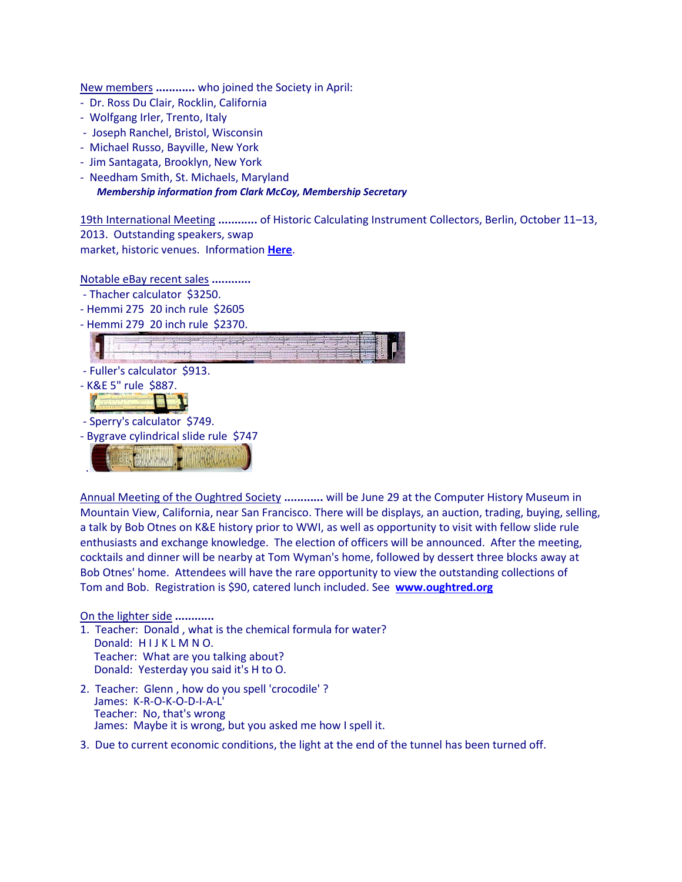New members **............** who joined the Society in April:

- Dr. Ross Du Clair, Rocklin, California
- Wolfgang Irler, Trento, Italy
- Joseph Ranchel, Bristol, Wisconsin
- Michael Russo, Bayville, New York
- Jim Santagata, Brooklyn, New York
- Needham Smith, St. Michaels, Maryland *Membership information from Clark McCoy, Membership Secretary*

19th International Meeting **............** of Historic Calculating Instrument Collectors, Berlin, October 11–13, 2013. Outstanding speakers, swap market, historic venues. Information **[Here](http://www.fh-jena.de/~kleine/im2013/IM2013_Information.pdf)**.

Notable eBay recent sales **............**

- Thacher calculator \$3250.
- Hemmi 275 20 inch rule \$2605
- Hemmi 279 20 inch rule \$2370.



- Sperry's calculator \$749.
- Bygrave cylindrical slide rule \$747

 $1.11$ .

Annual Meeting of the Oughtred Society **............** will be June 29 at the Computer History Museum in Mountain View, California, near San Francisco. There will be displays, an auction, trading, buying, selling, a talk by Bob Otnes on K&E history prior to WWI, as well as opportunity to visit with fellow slide rule enthusiasts and exchange knowledge. The election of officers will be announced. After the meeting, cocktails and dinner will be nearby at Tom Wyman's home, followed by dessert three blocks away at Bob Otnes' home. Attendees will have the rare opportunity to view the outstanding collections of Tom and Bob. Registration is \$90, catered lunch included. See **[www.oughtred.org](http://www.oughtred.org/)**

On the lighter side **............**

- 1. Teacher: Donald , what is the chemical formula for water? Donald: HIJKLMNO. Teacher: What are you talking about? Donald: Yesterday you said it's H to O.
- 2. Teacher: Glenn , how do you spell 'crocodile' ? James: K-R-O-K-O-D-I-A-L' Teacher: No, that's wrong James: Maybe it is wrong, but you asked me how I spell it.
- 3. Due to current economic conditions, the light at the end of the tunnel has been turned off.